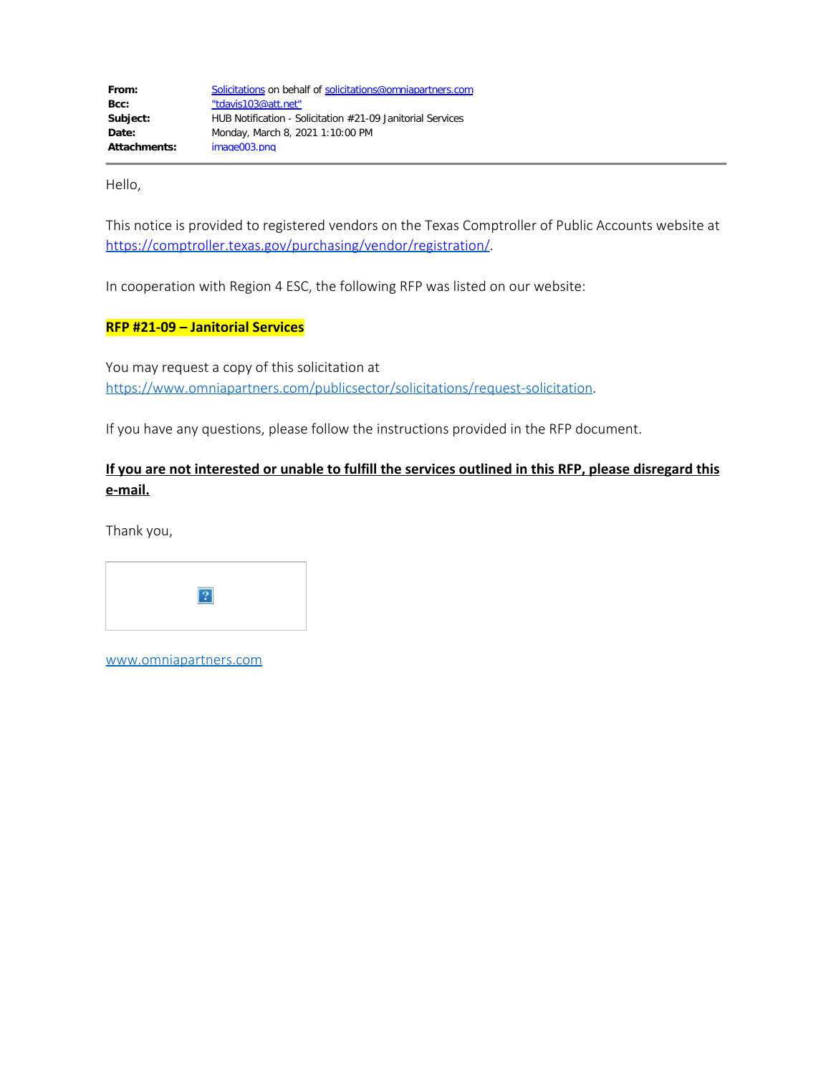Hello,

This notice is provided to registered vendors on the Texas Comptroller of Public Accounts website at [https://comptroller.texas.gov/purchasing/vendor/registration/.](https://comptroller.texas.gov/purchasing/vendor/registration/)

In cooperation with Region 4 ESC, the following RFP was listed on our website:

## **RFP #21-09 – Janitorial Services**

You may request a copy of this solicitation at [https://www.omniapartners.com/publicsector/solicitations/request-solicitation.](https://www.omniapartners.com/publicsector/solicitations/request-solicitation)

If you have any questions, please follow the instructions provided in the RFP document.

## **If you are not interested or unable to fulfill the services outlined in this RFP, please disregard this e-mail.**

Thank you,



[www.omniapartners.com](http://www.omniapartners.com/)